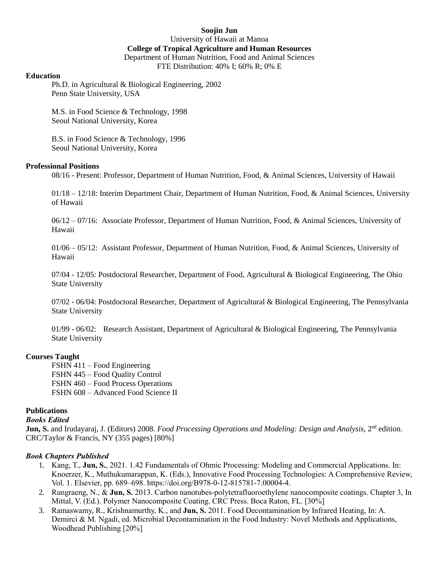**Soojin Jun** University of Hawaii at Manoa **College of Tropical Agriculture and Human Resources** Department of Human Nutrition, Food and Animal Sciences FTE Distribution: 40% I; 60% R; 0% E

#### **Education**

Ph.D. in Agricultural & Biological Engineering, 2002 Penn State University, USA

M.S. in Food Science & Technology, 1998 Seoul National University, Korea

B.S. in Food Science & Technology, 1996 Seoul National University, Korea

### **Professional Positions**

08/16 - Present: Professor, Department of Human Nutrition, Food, & Animal Sciences, University of Hawaii

01/18 – 12/18: Interim Department Chair, Department of Human Nutrition, Food, & Animal Sciences, University of Hawaii

06/12 – 07/16: Associate Professor, Department of Human Nutrition, Food, & Animal Sciences, University of Hawaii

01/06 – 05/12: Assistant Professor, Department of Human Nutrition, Food, & Animal Sciences, University of Hawaii

07/04 - 12/05: Postdoctoral Researcher, Department of Food, Agricultural & Biological Engineering, The Ohio State University

07/02 - 06/04: Postdoctoral Researcher, Department of Agricultural & Biological Engineering, The Pennsylvania State University

01/99 - 06/02: Research Assistant, Department of Agricultural & Biological Engineering, The Pennsylvania State University

### **Courses Taught**

FSHN 411 – Food Engineering FSHN 445 – Food Quality Control FSHN 460 – Food Process Operations FSHN 608 – Advanced Food Science II

### **Publications**

### *Books Edited*

**Jun, S.** and Irudayaraj, J. (Editors) 2008. *Food Processing Operations and Modeling: Design and Analysis*, 2<sup>nd</sup> edition. CRC/Taylor & Francis, NY (355 pages) [80%]

### *Book Chapters Published*

- 1. Kang, T., **Jun, S.**, 2021. 1.42 Fundamentals of Ohmic Processing: Modeling and Commercial Applications. In: Knoerzer, K., Muthukumarappan, K. (Eds.), Innovative Food Processing Technologies: A Comprehensive Review, Vol. 1. Elsevier, pp. 689–698. https://doi.org/B978-0-12-815781-7.00004-4.
- 2. Rungraeng, N., & **Jun, S.** 2013. Carbon nanotubes-polytetrafluoroethylene nanocomposite coatings. Chapter 3, In Mittal, V. (Ed.). Polymer Nanocomposite Coating. CRC Press. Boca Raton, FL. [30%]
- 3. Ramaswamy, R., Krishnamurthy, K., and **Jun, S.** 2011. Food Decontamination by Infrared Heating, In: A. Demirci & M. Ngadi, ed. Microbial Decontamination in the Food Industry: Novel Methods and Applications, Woodhead Publishing [20%]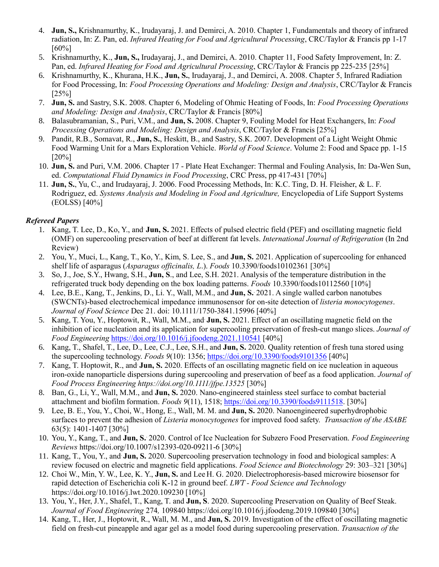- 4. **Jun, S.,** Krishnamurthy, K., Irudayaraj, J. and Demirci, A. 2010. Chapter 1, Fundamentals and theory of infrared radiation, In: Z. Pan, ed. *Infrared Heating for Food and Agricultural Processing*, CRC/Taylor & Francis pp 1-17 [60%]
- 5. Krishnamurthy, K., **Jun, S.,** Irudayaraj, J., and Demirci, A. 2010. Chapter 11, Food Safety Improvement, In: Z. Pan, ed. *Infrared Heating for Food and Agricultural Processing*, CRC/Taylor & Francis pp 225-235 [25%]
- 6. Krishnamurthy, K., Khurana, H.K., **Jun, S.**, Irudayaraj, J., and Demirci, A. 2008. Chapter 5, Infrared Radiation for Food Processing, In: *Food Processing Operations and Modeling: Design and Analysis*, CRC/Taylor & Francis [25%]
- 7. **Jun, S.** and Sastry, S.K. 2008. Chapter 6, Modeling of Ohmic Heating of Foods, In: *Food Processing Operations and Modeling: Design and Analysis*, CRC/Taylor & Francis [80%]
- 8. Balasubramanian, S., Puri, V.M., and **Jun, S.** 2008. Chapter 9, Fouling Model for Heat Exchangers, In: *Food Processing Operations and Modeling: Design and Analysis*, CRC/Taylor & Francis [25%]
- 9. Pandit, R.B., Somavat, R., **Jun, S.**, Heskitt, B., and Sastry, S.K. 2007. Development of a Light Weight Ohmic Food Warming Unit for a Mars Exploration Vehicle. *World of Food Science*. Volume 2: Food and Space pp. 1-15 [20%]
- 10. **Jun, S.** and Puri, V.M. 2006. Chapter 17 Plate Heat Exchanger: Thermal and Fouling Analysis, In: Da-Wen Sun, ed. *Computational Fluid Dynamics in Food Processing*, CRC Press, pp 417-431 [70%]
- 11. **Jun, S.**, Yu, C., and Irudayaraj, J. 2006. Food Processing Methods, In: K.C. Ting, D. H. Fleisher, & L. F. Rodriguez, ed. *Systems Analysis and Modeling in Food and Agriculture,* Encyclopedia of Life Support Systems (EOLSS) [40%]

### *Refereed Papers*

- 1. Kang, T. Lee, D., Ko, Y., and. **Jun, S.** 2021. Effects of pulsed electric field (PEF) and oscillating magnetic field (OMF) on supercooling preservation of beef at different fat levels. *International Journal of Refrigeration* (In 2nd Review)
- 2. You, Y., Muci, L., Kang, T., Ko, Y., Kim, S. Lee, S., and **Jun, S.** 2021. Application of supercooling for enhanced shelf life of asparagus (*Asparagus officinalis, L*.). *Foods* 10.3390/foods10102361 [30%]
- 3. So, J., Joe, S.Y., Hwang, S.H., **Jun, S**., and Lee, S.H. 2021. Analysis of the temperature distribution in the refrigerated truck body depending on the box loading patterns. *Foods* 10.3390/foods10112560 [10%]
- 4. Lee, B.E., Kang, T., Jenkins, D., Li. Y., Wall, M.M., and **Jun, S.**. 2021. A single walled carbon nanotubes (SWCNTs)-based electrochemical impedance immunosensor for on-site detection of *listeria monocytogenes*. *Journal of Food Science* Dec 21. doi: 10.1111/1750-3841.15996 [40%]
- 5. Kang, T. You, Y., Hoptowit, R., Wall, M.M., and. **Jun, S.** 2021. Effect of an oscillating magnetic field on the inhibition of ice nucleation and its application for supercooling preservation of fresh-cut mango slices. *Journal of Food Engineering* <https://doi.org/10.1016/j.jfoodeng.2021.110541> [40%]
- 6. Kang, T., Shafel, T., Lee, D., Lee, C.J., Lee, S.H., and **Jun, S.** 2020. Quality retention of fresh tuna stored using the supercooling technology. *Foods 9*(10): 1356;<https://doi.org/10.3390/foods9101356> [40%]
- 7. Kang, T. Hoptowit, R., and. **Jun, S.** 2020. Effects of an oscillating magnetic field on ice nucleation in aqueous iron‐oxide nanoparticle dispersions during supercooling and preservation of beef as a food application. *Journal of Food Process Engineering https://doi.org/10.1111/jfpe.13525* [30%]
- 8. Ban, G., Li, Y., Wall, M.M., and **Jun, S.** 2020. Nano-engineered stainless steel surface to combat bacterial attachment and biofilm formation. *Foods 9*(11), 1518; [https://doi.org/10.3390/foods9111518.](https://doi.org/10.3390/foods9111518) [30%]
- 9. Lee, B. E., You, Y., Choi, W., Hong, E., Wall, M. M. and **Jun, S.** 2020. Nanoengineered superhydrophobic surfaces to prevent the adhesion of *Listeria monocytogenes* for improved food safety. *Transaction of the ASABE*  63(5): 1401-1407 [30%]
- 10. You, Y., Kang, T., and **Jun, S.**. 2020. Control of Ice Nucleation for Subzero Food Preservation. *Food Engineering Reviews* https://doi.org/10.1007/s12393-020-09211-6 [30%]
- 11. Kang, T., You, Y., and. **Jun, S.** 2020. Supercooling preservation technology in food and biological samples: A review focused on electric and magnetic field applications. *Food Science and Biotechnology* 29: 303–321 [30%]
- 12. Choi W., Min, Y. W., Lee, K. Y., **Jun, S.** and Lee H. G. 2020. Dielectrophoresis-based microwire biosensor for rapid detection of Escherichia coli K-12 in ground beef. *LWT - Food Science and Technology* https://doi.org/10.1016/j.lwt.2020.109230 [10%]
- 13. You, Y., Her, J.Y., Shafel, T., Kang, T. and **Jun, S**. 2020. Supercooling Preservation on Quality of Beef Steak. *Journal of Food Engineering* 274*,* 109840 https://doi.org/10.1016/j.jfoodeng.2019.109840 [30%]
- 14. Kang, T., Her, J., Hoptowit, R., Wall, M. M., and **Jun, S.** 2019. Investigation of the effect of oscillating magnetic field on fresh-cut pineapple and agar gel as a model food during supercooling preservation. *Transaction of the*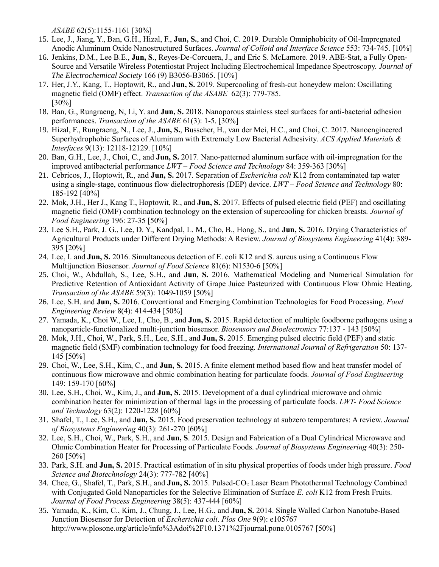*ASABE* 62(5):1155-1161 [30%]

- 15. Lee, J., Jiang, Y., Ban, G.H., Hizal, F., **Jun, S.**, and Choi, C. 2019. Durable Omniphobicity of Oil-Impregnated Anodic Aluminum Oxide Nanostructured Surfaces. *Journal of Colloid and Interface Science* 553: 734-745. [10%]
- 16. Jenkins, D.M., Lee B.E., **Jun, S**., Reyes-De-Corcuera, J., and Eric S. McLamore. 2019. ABE-Stat, a Fully Open-Source and Versatile Wireless Potentiostat Project Including Electrochemical Impedance Spectroscopy. *Journal of The Electrochemical Society* 166 (9) B3056-B3065. [10%]
- 17. Her, J.Y., Kang, T., Hoptowit, R., and **Jun, S.** 2019. Supercooling of fresh-cut honeydew melon: Oscillating magnetic field (OMF) effect. *Transaction of the ASABE* 62(3): 779-785. [30%]
- 18. Ban, G., Rungraeng, N, Li, Y. and **Jun, S.** 2018. Nanoporous stainless steel surfaces for anti-bacterial adhesion performances. *Transaction of the ASABE* 61(3): 1-5. [30%]
- 19. Hizal, F., Rungraeng, N., Lee, J., **Jun, S.**, Busscher, H., van der Mei, H.C., and Choi, C. 2017. Nanoengineered Superhydrophobic Surfaces of Aluminum with Extremely Low Bacterial Adhesivity. *ACS Applied Materials & Interfaces* 9(13): 12118-12129. [10%]
- 20. Ban, G.H., Lee, J., Choi, C., and **Jun, S.** 2017. Nano-patterned aluminum surface with oil-impregnation for the improved antibacterial performance *LWT – Food Science and Technology* 84: 359-363 [30%]
- 21. Cebricos, J., Hoptowit, R., and **Jun, S.** 2017. Separation of *Escherichia coli* K12 from contaminated tap water using a single-stage, continuous flow dielectrophoresis (DEP) device. *LWT – Food Science and Technology* 80: 185-192 [40%]
- 22. Mok, J.H., Her J., Kang T., Hoptowit, R., and **Jun, S.** 2017. Effects of pulsed electric field (PEF) and oscillating magnetic field (OMF) combination technology on the extension of supercooling for chicken breasts. *Journal of Food Engineering* 196: 27-35 [50%]
- 23. Lee S.H., Park, J. G., Lee, D. Y., Kandpal, L. M., Cho, B., Hong, S., and **Jun, S.** 2016. Drying Characteristics of Agricultural Products under Different Drying Methods: A Review. *Journal of Biosystems Engineering* 41(4): 389- 395 [20%]
- 24. Lee, I. and **Jun, S.** 2016. Simultaneous detection of E. coli K12 and S. aureus using a Continuous Flow Multijunction Biosensor. *Journal of Food Science* 81(6): N1530-6 [50%]
- 25. Choi, W., Abdullah, S., Lee, S.H., and **Jun, S.** 2016. Mathematical Modeling and Numerical Simulation for Predictive Retention of Antioxidant Activity of Grape Juice Pasteurized with Continuous Flow Ohmic Heating. *Transaction of the ASABE* 59(3): 1049-1059 [50%]
- 26. Lee, S.H. and **Jun, S.** 2016. Conventional and Emerging Combination Technologies for Food Processing. *Food Engineering Review* 8(4): 414-434 [50%]
- 27. Yamada, K., Choi W., Lee, I., Cho, B., and **Jun, S.** 2015. Rapid detection of multiple foodborne pathogens using a nanoparticle-functionalized multi-junction biosensor. *Biosensors and Bioelectronics* 77:137 - 143 [50%]
- 28. Mok, J.H., Choi, W., Park, S.H., Lee, S.H., and **Jun, S.** 2015. Emerging pulsed electric field (PEF) and static magnetic field (SMF) combination technology for food freezing. *International Journal of Refrigeration* 50: 137- 145 [50%]
- 29. Choi, W., Lee, S.H., Kim, C., and **Jun, S.** 2015. A finite element method based flow and heat transfer model of continuous flow microwave and ohmic combination heating for particulate foods. *Journal of Food Engineering* 149: 159-170 [60%]
- 30. Lee, S.H., Choi, W., Kim, J., and **Jun, S.** 2015. Development of a dual cylindrical microwave and ohmic combination heater for minimization of thermal lags in the processing of particulate foods. *LWT- Food Science and Technology* 63(2): 1220-1228 [60%]
- 31. Shafel, T., Lee, S.H., and **Jun, S.** 2015. Food preservation technology at subzero temperatures: A review. *Journal of Biosystems Engineering* 40(3): 261-270 [60%]
- 32. Lee, S.H., Choi, W., Park, S.H., and **Jun, S**. 2015. Design and Fabrication of a Dual Cylindrical Microwave and Ohmic Combination Heater for Processing of Particulate Foods. *Journal of Biosystems Engineering* 40(3): 250- 260 [50%]
- 33. Park, S.H. and **Jun, S.** 2015. Practical estimation of in situ physical properties of foods under high pressure. *Food Science and Biotechnology* 24(3): 777-782 [40%]
- 34. Chee, G., Shafel, T., Park, S.H., and **Jun, S.** 2015. Pulsed-CO<sup>2</sup> Laser Beam Photothermal Technology Combined with Conjugated Gold Nanoparticles for the Selective Elimination of Surface *E. coli* K12 from Fresh Fruits. *Journal of Food Process Engineering* 38(5): 437-444 [60%]
- 35. Yamada, K., Kim, C., Kim, J., Chung, J., Lee, H.G., and **Jun, S.** 2014. Single Walled Carbon Nanotube-Based Junction Biosensor for Detection of *Escherichia coli*. *Plos One* 9(9): e105767 <http://www.plosone.org/article/info%3Adoi%2F10.1371%2Fjournal.pone.0105767> [50%]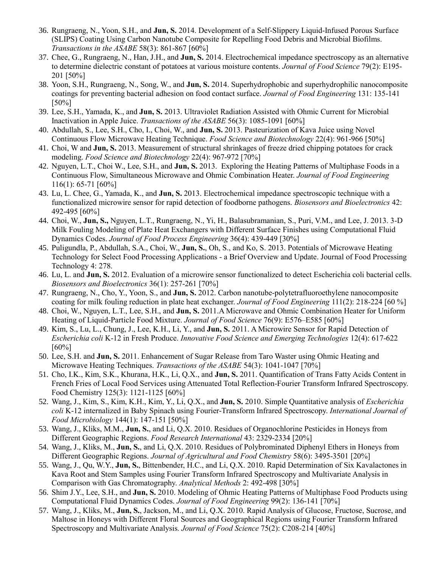- 36. Rungraeng, N., Yoon, S.H., and **Jun, S.** 2014. Development of a Self-Slippery Liquid-Infused Porous Surface (SLIPS) Coating Using Carbon Nanotube Composite for Repelling Food Debris and Microbial Biofilms. *Transactions in the ASABE* 58(3): 861-867 [60%]
- 37. Chee, G., Rungraeng, N., Han, J.H., and **Jun, S.** 2014. Electrochemical impedance spectroscopy as an alternative to determine dielectric constant of potatoes at various moisture contents. *Journal of Food Science* 79(2): E195- 201 [50%]
- 38. Yoon, S.H., Rungraeng, N., Song, W., and **Jun, S.** 2014. Superhydrophobic and superhydrophilic nanocomposite coatings for preventing bacterial adhesion on food contact surface. *Journal of Food Engineering* 131: 135-141 [50%]
- 39. Lee, S.H., Yamada, K., and **Jun, S.** 2013. Ultraviolet Radiation Assisted with Ohmic Current for Microbial Inactivation in Apple Juice. *Transactions of the ASABE* 56(3): 1085-1091 [60%]
- 40. Abdullah, S., Lee, S.H., Cho, I., Choi, W., and **Jun, S.** 2013. Pasteurization of Kava Juice using Novel Continuous Flow Microwave Heating Technique. *Food Science and Biotechnology* 22(4): 961-966 [50%]
- 41. Choi, W and **Jun, S.** 2013. Measurement of structural shrinkages of freeze dried chipping potatoes for crack modeling. *Food Science and Biotechnology* 22(4): 967-972 [70%]
- 42. Nguyen, L.T., Choi W., Lee, S.H., and **Jun, S.** 2013. Exploring the Heating Patterns of Multiphase Foods in a Continuous Flow, Simultaneous Microwave and Ohmic Combination Heater. *Journal of Food Engineering* 116(1): 65-71 [60%]
- 43. Lu, L. Chee, G., Yamada, K., and **Jun, S.** 2013. Electrochemical impedance spectroscopic technique with a functionalized microwire sensor for rapid detection of foodborne pathogens. *Biosensors and Bioelectronics* 42: 492-495 [60%]
- 44. Choi, W., **Jun, S.,** Nguyen, L.T., Rungraeng, N., Yi, H., Balasubramanian, S., Puri, V.M., and Lee, J. 2013. 3-D Milk Fouling Modeling of Plate Heat Exchangers with Different Surface Finishes using Computational Fluid Dynamics Codes. *Journal of Food Process Engineering* 36(4): 439-449 [30%]
- 45. Puligundla, P., Abdullah, S.A., Choi, W., **Jun, S.**, Oh, S., and Ko, S. 2013. Potentials of Microwave Heating Technology for Select Food Processing Applications - a Brief Overview and Update. Journal of Food Processing Technology 4: 278.
- 46. Lu, L. and **Jun, S.** 2012. Evaluation of a microwire sensor functionalized to detect Escherichia coli bacterial cells. *Biosensors and Bioelectronics* 36(1): 257-261 [70%]
- 47. Rungraeng, N., Cho, Y., Yoon, S., and **Jun, S.** 2012. Carbon nanotube-polytetrafluoroethylene nanocomposite coating for milk fouling reduction in plate heat exchanger. *Journal of Food Engineering* 111(2): 218-224 [60 %]
- 48. Choi, W., Nguyen, L.T., Lee, S.H., and **Jun, S.** 2011.A Microwave and Ohmic Combination Heater for Uniform Heating of Liquid-Particle Food Mixture. *Journal of Food Science* 76(9): E576–E585 [60%]
- 49. Kim, S., Lu, L., Chung, J., Lee, K.H., Li, Y., and **Jun, S.** 2011. A Microwire Sensor for Rapid Detection of *Escherichia coli* K-12 in Fresh Produce. *Innovative Food Science and Emerging Technologies* 12(4): 617-622 [60%]
- 50. Lee, S.H. and **Jun, S.** 2011. Enhancement of Sugar Release from Taro Waster using Ohmic Heating and Microwave Heating Techniques. *Transactions of the ASABE* 54(3): 1041-1047 [70%]
- 51. Cho, I.K., Kim, S.K., Khurana, H.K., Li, Q.X., and **Jun, S.** 2011. Quantification of Trans Fatty Acids Content in French Fries of Local Food Services using Attenuated Total Reflection-Fourier Transform Infrared Spectroscopy. Food Chemistry 125(3): 1121-1125 [60%]
- 52. Wang, J., Kim, S., Kim, K.H., Kim, Y., Li, Q.X., and **Jun, S.** 2010. Simple Quantitative analysis of *Escherichia coli* K-12 internalized in Baby Spinach using Fourier-Transform Infrared Spectroscopy. *International Journal of Food Microbiology* 144(1): 147-151 [50%]
- 53. Wang, J., Kliks, M.M., **Jun, S.**, and Li, Q.X. 2010. Residues of Organochlorine Pesticides in Honeys from Different Geographic Regions. *Food Research International* 43: 2329-2334 [20%]
- 54. Wang, J., Kliks, M., **Jun, S.**, and Li, Q.X. 2010. Residues of Polybrominated Diphenyl Ethers in Honeys from Different Geographic Regions. *Journal of Agricultural and Food Chemistry* 58(6): 3495-3501 [20%]
- 55. Wang, J., Qu, W.Y., **Jun, S.**, Bittenbender, H.C., and Li, Q.X. 2010. Rapid Determination of Six Kavalactones in Kava Root and Stem Samples using Fourier Transform Infrared Spectroscopy and Multivariate Analysis in Comparison with Gas Chromatography. *Analytical Methods* 2: 492-498 [30%]
- 56. Shim J.Y., Lee, S.H., and **Jun, S.** 2010. Modeling of Ohmic Heating Patterns of Multiphase Food Products using Computational Fluid Dynamics Codes. *Journal of Food Engineering* 99(2): 136-141 [70%]
- 57. Wang, J., Kliks, M., **Jun, S.**, Jackson, M., and Li, Q.X. 2010. Rapid Analysis of Glucose, Fructose, Sucrose, and Maltose in Honeys with Different Floral Sources and Geographical Regions using Fourier Transform Infrared Spectroscopy and Multivariate Analysis. *Journal of Food Science* 75(2): C208-214 [40%]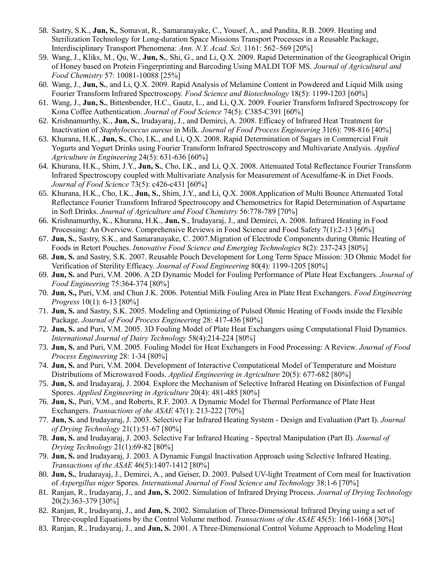- 58. Sastry, S.K., **Jun, S.**, Somavat, R., Samaranayake, C., Yousef, A., and Pandita, R.B. 2009. Heating and Sterilization Technology for Long-duration Space Missions Transport Processes in a Reusable Package, Interdisciplinary Transport Phenomena: *Ann. N.Y. Acad. Sci.* 1161: 562–569 [20%]
- 59. Wang, J., Kliks, M., Qu, W., **Jun, S.**, Shi, G., and Li, Q.X. 2009. Rapid Determination of the Geographical Origin of Honey based on Protein Fingerprinting and Barcoding Using MALDI TOF MS. *Journal of Agricultural and Food Chemistry* 57: 10081-10088 [25%]
- 60. Wang, J., **Jun, S.**, and Li, Q.X. 2009. Rapid Analysis of Melamine Content in Powdered and Liquid Milk using Fourier Transform Infrared Spectroscopy. *Food Science and Biotechnology* 18(5): 1199-1203 [60%]
- 61. Wang, J., **Jun, S.**, Bittenbender, H.C., Gautz, L., and Li, Q.X. 2009. Fourier Transform Infrared Spectroscopy for Kona Coffee Authentication. *Journal of Food Science* 74(5): C385-C391 [60%]
- 62. Krishnamurthy, K., **Jun, S.**, Irudayaraj, J., and Demirci, A. 2008. Efficacy of Infrared Heat Treatment for Inactivation of *Staphylococcus aureus* in Milk. *Journal of Food Process Engineering* 31(6): 798-816 [40%]
- 63. Khurana, H.K., **Jun, S.**, Cho, I.K., and Li, Q.X. 2008. Rapid Determination of Sugars in Commercial Fruit Yogurts and Yogurt Drinks using Fourier Transform Infrared Spectroscopy and Multivariate Analysis. *Applied Agriculture in Engineering* 24(5): 631-636 [60%]
- 64. Khurana, H.K., Shim, J.Y., **Jun, S.**, Cho, I.K., and Li, Q.X. 2008. Attenuated Total Reflectance Fourier Transform Infrared Spectroscopy coupled with Multivariate Analysis for Measurement of Acesulfame-K in Diet Foods. *Journal of Food Science* 73(5): c426-c431 [60%]
- 65. Khurana, H.K., Cho, I.K., **Jun, S.**, Shim, J.Y., and Li, Q.X. 2008.Application of Multi Bounce Attenuated Total Reflectance Fourier Transform Infrared Spectroscopy and Chemometrics for Rapid Determination of Aspartame in Soft Drinks. *Journal of Agriculture and Food Chemistry* 56:778-789 [70%]
- 66. Krishnamurthy, K., Khurana, H.K., **Jun, S**., Irudayaraj, J., and Demirci, A. 2008. Infrared Heating in Food Processing: An Overview. Comprehensive Reviews in Food Science and Food Safety 7(1):2-13 [60%]
- 67. **Jun, S.**, Sastry, S.K., and Samaranayake, C. 2007.Migration of Electrode Components during Ohmic Heating of Foods in Retort Pouches. *Innovative Food Science and Emerging Technologies* 8(2): 237-243 [80%]
- 68. **Jun, S.** and Sastry, S.K. 2007. Reusable Pouch Development for Long Term Space Mission: 3D Ohmic Model for Verification of Sterility Efficacy. *Journal of Food Engineering* 80(4): 1199-1205 [80%]
- 69. **Jun, S.** and Puri, V.M. 2006. A 2D Dynamic Model for Fouling Performance of Plate Heat Exchangers. *Journal of Food Engineering* 75:364-374 [80%]
- 70. **Jun, S.,** Puri, V.M. and Chun J.K. 2006. Potential Milk Fouling Area in Plate Heat Exchangers. *Food Engineering Progress* 10(1): 6-13 [80%]
- 71. **Jun, S.** and Sastry, S.K. 2005. Modeling and Optimizing of Pulsed Ohmic Heating of Foods inside the Flexible Package. *Journal of Food Process Engineering* 28: 417-436 [80%]
- 72. **Jun, S.** and Puri, V.M. 2005. 3D Fouling Model of Plate Heat Exchangers using Computational Fluid Dynamics. *International Journal of Dairy Technology* 58(4):214-224 [80%]
- 73. **Jun, S.** and Puri, V.M. 2005. Fouling Model for Heat Exchangers in Food Processing: A Review. *Journal of Food Process Engineering* 28: 1-34 [80%]
- 74. **Jun, S.** and Puri, V.M. 2004. Development of Interactive Computational Model of Temperature and Moisture Distributions of Microwaved Foods. *Applied Engineering in Agriculture* 20(5): 677-682 [80%]
- 75. **Jun, S.** and Irudayaraj, J. 2004. Explore the Mechanism of Selective Infrared Heating on Disinfection of Fungal Spores. *Applied Engineering in Agriculture* 20(4): 481-485 [80%]
- 76. **Jun, S.**, Puri, V.M., and Roberts, R.F. 2003. A Dynamic Model for Thermal Performance of Plate Heat Exchangers. *Transactions of the ASAE* 47(1): 213-222 [70%]
- 77. **Jun, S.** and Irudayaraj, J. 2003. Selective Far Infrared Heating System Design and Evaluation (Part I). *Journal of Drying Technology* 21(1):51-67 [80%]
- 78. **Jun, S.** and Irudayaraj, J. 2003. Selective Far Infrared Heating Spectral Manipulation (Part II). *Journal of Drying Technology* 21(1):69-82 [80%]
- 79. **Jun, S.** and Irudayaraj, J. 2003. A Dynamic Fungal Inactivation Approach using Selective Infrared Heating. *Transactions of the ASAE* 46(5):1407-1412 [80%]
- 80. **Jun, S.**, Irudarayaj, J., Demirci, A., and Geiser, D. 2003. Pulsed UV-light Treatment of Corn meal for Inactivation of *Aspergillus niger* Spores. *International Journal of Food Science and Technology* 38:1-6 [70%]
- 81. Ranjan, R., Irudayaraj, J., and **Jun, S.** 2002. Simulation of Infrared Drying Process. *Journal of Drying Technology* 20(2):363-379 [30%]
- 82. Ranjan, R., Irudayaraj, J., and **Jun, S.** 2002. Simulation of Three-Dimensional Infrared Drying using a set of Three-coupled Equations by the Control Volume method. *Transactions of the ASAE* 45(5): 1661-1668 [30%]
- 83. Ranjan, R., Irudayaraj, J., and **Jun, S.** 2001. A Three-Dimensional Control Volume Approach to Modeling Heat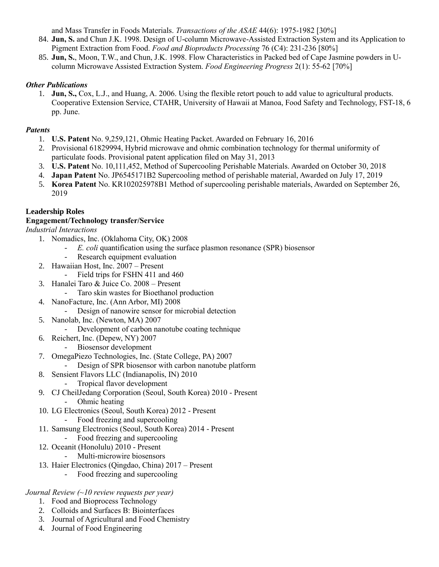and Mass Transfer in Foods Materials. *Transactions of the ASAE* 44(6): 1975-1982 [30%]

- 84. **Jun, S.** and Chun J.K. 1998. Design of U-column Microwave-Assisted Extraction System and its Application to Pigment Extraction from Food. *Food and Bioproducts Processing* 76 (C4): 231-236 [80%]
- 85. **Jun, S.**, Moon, T.W., and Chun, J.K. 1998. Flow Characteristics in Packed bed of Cape Jasmine powders in Ucolumn Microwave Assisted Extraction System. *Food Engineering Progress* 2(1): 55-62 [70%]

## *Other Publications*

1. **Jun, S.,** Cox, L.J., and Huang, A. 2006. Using the flexible retort pouch to add value to agricultural products. Cooperative Extension Service, CTAHR, University of Hawaii at Manoa, Food Safety and Technology, FST-18, 6 pp. June.

# *Patents*

- 1. **U.S. Patent** No. 9,259,121, Ohmic Heating Packet. Awarded on February 16, 2016
- 2. Provisional 61829994, Hybrid microwave and ohmic combination technology for thermal uniformity of particulate foods. Provisional patent application filed on May 31, 2013
- 3. **U.S. Patent** No. 10,111,452, Method of Supercooling Perishable Materials. Awarded on October 30, 2018
- 4. **Japan Patent** No. JP6545171B2 Supercooling method of perishable material, Awarded on July 17, 2019
- 5. **Korea Patent** No. KR102025978B1 Method of supercooling perishable materials, Awarded on September 26, 2019

# **Leadership Roles**

## **Engagement/Technology transfer/Service**

*Industrial Interactions*

- 1. Nomadics, Inc. (Oklahoma City, OK) 2008
	- *E. coli* quantification using the surface plasmon resonance (SPR) biosensor
	- Research equipment evaluation
- 2. Hawaiian Host, Inc. 2007 Present
	- Field trips for FSHN 411 and 460
- 3. Hanalei Taro & Juice Co. 2008 Present
	- Taro skin wastes for Bioethanol production
- 4. NanoFacture, Inc. (Ann Arbor, MI) 2008
	- Design of nanowire sensor for microbial detection
- 5. Nanolab, Inc. (Newton, MA) 2007
	- Development of carbon nanotube coating technique
- 6. Reichert, Inc. (Depew, NY) 2007
	- Biosensor development
- 7. OmegaPiezo Technologies, Inc. (State College, PA) 2007
- Design of SPR biosensor with carbon nanotube platform
- 8. Sensient Flavors LLC (Indianapolis, IN) 2010
	- Tropical flavor development
- 9. CJ CheilJedang Corporation (Seoul, South Korea) 2010 Present - Ohmic heating
- 10. LG Electronics (Seoul, South Korea) 2012 Present
	- Food freezing and supercooling
- 11. Samsung Electronics (Seoul, South Korea) 2014 Present
	- Food freezing and supercooling
- 12. Oceanit (Honolulu) 2010 Present
	- Multi-microwire biosensors
- 13. Haier Electronics (Qingdao, China) 2017 Present
	- Food freezing and supercooling

*Journal Review (~10 review requests per year)*

- 1. Food and Bioprocess Technology
- 2. Colloids and Surfaces B: Biointerfaces
- 3. Journal of Agricultural and Food Chemistry
- 4. Journal of Food Engineering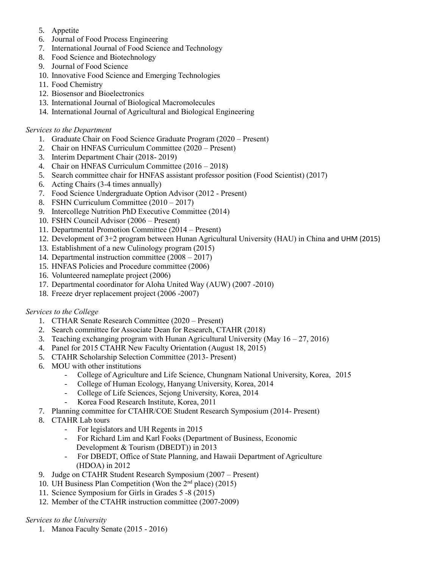- 5. Appetite
- 6. Journal of Food Process Engineering
- 7. International Journal of Food Science and Technology
- 8. Food Science and Biotechnology
- 9. Journal of Food Science
- 10. Innovative Food Science and Emerging Technologies
- 11. Food Chemistry
- 12. Biosensor and Bioelectronics
- 13. International Journal of Biological Macromolecules
- 14. International Journal of Agricultural and Biological Engineering

### *Services to the Department*

- 1. Graduate Chair on Food Science Graduate Program (2020 Present)
- 2. Chair on HNFAS Curriculum Committee (2020 Present)
- 3. Interim Department Chair (2018- 2019)
- 4. Chair on HNFAS Curriculum Committee (2016 2018)
- 5. Search committee chair for HNFAS assistant professor position (Food Scientist) (2017)
- 6. Acting Chairs (3-4 times annually)
- 7. Food Science Undergraduate Option Advisor (2012 Present)
- 8. FSHN Curriculum Committee (2010 2017)
- 9. Intercollege Nutrition PhD Executive Committee (2014)
- 10. FSHN Council Advisor (2006 Present)
- 11. Departmental Promotion Committee (2014 Present)
- 12. Development of 3+2 program between Hunan Agricultural University (HAU) in China and UHM (2015)
- 13. Establishment of a new Culinology program (2015)
- 14. Departmental instruction committee (2008 2017)
- 15. HNFAS Policies and Procedure committee (2006)
- 16. Volunteered nameplate project (2006)
- 17. Departmental coordinator for Aloha United Way (AUW) (2007 -2010)
- 18. Freeze dryer replacement project (2006 -2007)

### *Services to the College*

- 1. CTHAR Senate Research Committee (2020 Present)
- 2. Search committee for Associate Dean for Research, CTAHR (2018)
- 3. Teaching exchanging program with Hunan Agricultural University (May  $16 27$ , 2016)
- 4. Panel for 2015 CTAHR New Faculty Orientation (August 18, 2015)
- 5. CTAHR Scholarship Selection Committee (2013- Present)
- 6. MOU with other institutions
	- College of Agriculture and Life Science, Chungnam National University, Korea, 2015
	- College of Human Ecology, Hanyang University, Korea, 2014
	- College of Life Sciences, Sejong University, Korea, 2014
	- Korea Food Research Institute, Korea, 2011
- 7. Planning committee for CTAHR/COE Student Research Symposium (2014- Present)
- 8. CTAHR Lab tours
	- For legislators and UH Regents in 2015
	- For Richard Lim and Karl Fooks (Department of Business, Economic Development & Tourism (DBEDT)) in 2013
	- For DBEDT, Office of State Planning, and Hawaii Department of Agriculture (HDOA) in 2012
- 9. Judge on CTAHR Student Research Symposium (2007 Present)
- 10. UH Business Plan Competition (Won the 2nd place) (2015)
- 11. Science Symposium for Girls in Grades 5 -8 (2015)
- 12. Member of the CTAHR instruction committee (2007-2009)

### *Services to the University*

1. Manoa Faculty Senate (2015 - 2016)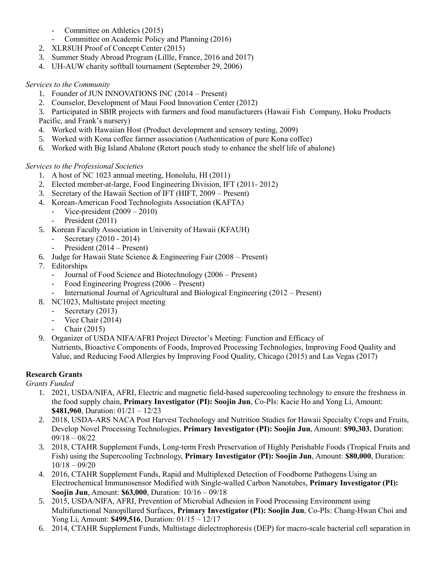- Committee on Athletics (2015)
- Committee on Academic Policy and Planning (2016)
- 2. XLR8UH Proof of Concept Center (2015)
- 3. Summer Study Abroad Program (Lillle, France, 2016 and 2017)
- 4. UH-AUW charity softball tournament (September 29, 2006)

## *Services to the Community*

- 1. Founder of JUN INNOVATIONS INC (2014 Present)
- 2. Counselor, Development of Maui Food Innovation Center (2012)
- 3. Participated in SBIR projects with farmers and food manufacturers (Hawaii Fish Company, Hoku Products Pacific, and Frank's nursery)
- 4. Worked with Hawaiian Host (Product development and sensory testing, 2009)
- 5. Worked with Kona coffee farmer association (Authentication of pure Kona coffee)
- 6. Worked with Big Island Abalone (Retort pouch study to enhance the shelf life of abalone)

## *Services to the Professional Societies*

- 1. A host of NC 1023 annual meeting, Honolulu, HI (2011)
- 2. Elected member-at-large, Food Engineering Division, IFT (2011- 2012)
- 3. Secretary of the Hawaii Section of IFT (HIFT, 2009 Present)
- 4. Korean-American Food Technologists Association (KAFTA)
	- Vice-president  $(2009 2010)$
	- President (2011)
- 5. Korean Faculty Association in University of Hawaii (KFAUH)
	- Secretary (2010 2014)
	- President (2014 Present)
- 6. Judge for Hawaii State Science & Engineering Fair  $(2008 -$  Present)
- 7. Editorships
	- Journal of Food Science and Biotechnology (2006 Present)
	- Food Engineering Progress (2006 Present)
	- International Journal of Agricultural and Biological Engineering (2012 Present)
- 8. NC1023, Multistate project meeting
	- Secretary (2013)
	- Vice Chair (2014)
	- Chair (2015)
- 9. Organizer of USDA NIFA/AFRI Project Director's Meeting: Function and Efficacy of Nutrients, Bioactive Components of Foods, Improved Processing Technologies, Improving Food Quality and Value, and Reducing Food Allergies by Improving Food Quality, Chicago (2015) and Las Vegas (2017)

# **Research Grants**

### *Grants Funded*

- 1. 2021, USDA/NIFA, AFRI, Electric and magnetic field-based supercooling technology to ensure the freshness in the food supply chain, **Primary Investigator (PI): Soojin Jun**, Co-PIs: Kacie Ho and Yong Li, Amount: **\$481,960**, Duration: 01/21 – 12/23
- 2. 2018, USDA-ARS NACA Post Harvest Technology and Nutrition Studies for Hawaii Specialty Crops and Fruits, Develop Novel Processing Technologies, **Primary Investigator (PI): Soojin Jun**, Amount: **\$90,303**, Duration: 09/18 – 08/22
- 3. 2018, CTAHR Supplement Funds, Long-term Fresh Preservation of Highly Perishable Foods (Tropical Fruits and Fish) using the Supercooling Technology, **Primary Investigator (PI): Soojin Jun**, Amount: **\$80,000**, Duration: 10/18 – 09/20
- 4. 2016, CTAHR Supplement Funds, Rapid and Multiplexed Detection of Foodborne Pathogens Using an Electrochemical Immunosensor Modified with Single-walled Carbon Nanotubes, **Primary Investigator (PI): Soojin Jun**, Amount: **\$63,000**, Duration: 10/16 – 09/18
- 5. 2015, USDA/NIFA, AFRI, Prevention of Microbial Adhesion in Food Processing Environment using Multifunctional Nanopillared Surfaces, **Primary Investigator (PI): Soojin Jun**, Co-PIs: Chang-Hwan Choi and Yong Li, Amount: **\$499,516**, Duration: 01/15 – 12/17
- 6. 2014, CTAHR Supplement Funds, Multistage dielectrophoresis (DEP) for macro-scale bacterial cell separation in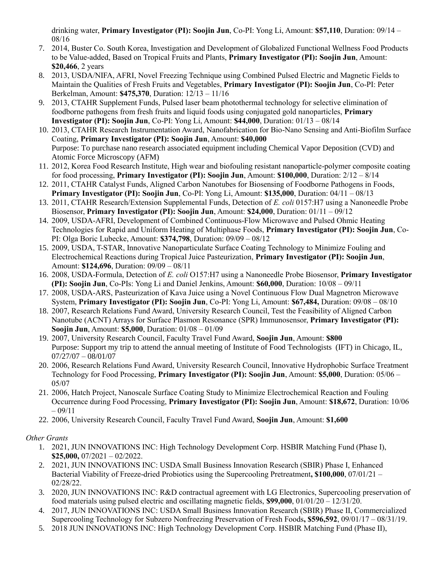drinking water, **Primary Investigator (PI): Soojin Jun**, Co-PI: Yong Li, Amount: **\$57,110**, Duration: 09/14 – 08/16

- 7. 2014, Buster Co. South Korea, Investigation and Development of Globalized Functional Wellness Food Products to be Value-added, Based on Tropical Fruits and Plants, **Primary Investigator (PI): Soojin Jun**, Amount: **\$20,466**, 2 years
- 8. 2013, USDA/NIFA, AFRI, Novel Freezing Technique using Combined Pulsed Electric and Magnetic Fields to Maintain the Qualities of Fresh Fruits and Vegetables, **Primary Investigator (PI): Soojin Jun**, Co-PI: Peter Berkelman, Amount: **\$475,370**, Duration: 12/13 – 11/16
- 9. 2013, CTAHR Supplement Funds, Pulsed laser beam photothermal technology for selective elimination of foodborne pathogens from fresh fruits and liquid foods using conjugated gold nanoparticles, **Primary Investigator (PI): Soojin Jun**, Co-PI: Yong Li, Amount: **\$44,000**, Duration: 01/13 – 08/14
- 10. 2013, CTAHR Research Instrumentation Award, Nanofabrication for Bio-Nano Sensing and Anti-Biofilm Surface Coating, **Primary Investigator (PI): Soojin Jun**, Amount: **\$40,000** Purpose: To purchase nano research associated equipment including Chemical Vapor Deposition (CVD) and Atomic Force Microscopy (AFM)
- 11. 2012, Korea Food Research Institute, High wear and biofouling resistant nanoparticle-polymer composite coating for food processing, **Primary Investigator (PI): Soojin Jun**, Amount: **\$100,000**, Duration: 2/12 – 8/14
- 12. 2011, CTAHR Catalyst Funds, Aligned Carbon Nanotubes for Biosensing of Foodborne Pathogens in Foods, **Primary Investigator (PI): Soojin Jun**, Co-PI: Yong Li, Amount: **\$135,000**, Duration: 04/11 – 08/13
- 13. 2011, CTAHR Research/Extension Supplemental Funds, Detection of *E. coli* 0157:H7 using a Nanoneedle Probe Biosensor, **Primary Investigator (PI): Soojin Jun**, Amount: **\$24,000**, Duration: 01/11 – 09/12
- 14. 2009, USDA-AFRI, Development of Combined Continuous-Flow Microwave and Pulsed Ohmic Heating Technologies for Rapid and Uniform Heating of Multiphase Foods, **Primary Investigator (PI): Soojin Jun**, Co-PI: Olga Boric Lubecke, Amount: **\$374,798**, Duration: 09/09 – 08/12
- 15. 2009, USDA, T-STAR, Innovative Nanoparticulate Surface Coating Technology to Minimize Fouling and Electrochemical Reactions during Tropical Juice Pasteurization, **Primary Investigator (PI): Soojin Jun**, Amount: **\$124,696**, Duration: 09/09 – 08/11
- 16. 2008, USDA-Formula, Detection of *E. coli* O157:H7 using a Nanoneedle Probe Biosensor, **Primary Investigator (PI): Soojin Jun**, Co-PIs: Yong Li and Daniel Jenkins, Amount: **\$60,000**, Duration: 10/08 – 09/11
- 17. 2008, USDA-ARS, Pasteurization of Kava Juice using a Novel Continuous Flow Dual Magnetron Microwave System, **Primary Investigator (PI): Soojin Jun**, Co-PI: Yong Li, Amount: **\$67,484,** Duration: 09/08 – 08/10
- 18. 2007, Research Relations Fund Award, University Research Council, Test the Feasibility of Aligned Carbon Nanotube (ACNT) Arrays for Surface Plasmon Resonance (SPR) Immunosensor, **Primary Investigator (PI): Soojin Jun**, Amount: **\$5,000**, Duration: 01/08 – 01/09
- 19. 2007, University Research Council, Faculty Travel Fund Award, **Soojin Jun**, Amount: **\$800** Purpose: Support my trip to attend the annual meeting of Institute of Food Technologists (IFT) in Chicago, IL, 07/27/07 – 08/01/07
- 20. 2006, Research Relations Fund Award, University Research Council, Innovative Hydrophobic Surface Treatment Technology for Food Processing, **Primary Investigator (PI): Soojin Jun**, Amount: **\$5,000**, Duration: 05/06 – 05/07
- 21. 2006, Hatch Project, Nanoscale Surface Coating Study to Minimize Electrochemical Reaction and Fouling Occurrence during Food Processing, **Primary Investigator (PI): Soojin Jun**, Amount: **\$18,672**, Duration: 10/06  $-09/11$
- 22. 2006, University Research Council, Faculty Travel Fund Award, **Soojin Jun**, Amount: **\$1,600**

# *Other Grants*

- 1. 2021, JUN INNOVATIONS INC: High Technology Development Corp. HSBIR Matching Fund (Phase I), **\$25,000,** 07/2021 – 02/2022.
- 2. 2021, JUN INNOVATIONS INC: USDA Small Business Innovation Research (SBIR) Phase I, Enhanced Bacterial Viability of Freeze-dried Probiotics using the Supercooling Pretreatment**, \$100,000**, 07/01/21 – 02/28/22.
- 3. 2020, JUN INNOVATIONS INC: R&D contractual agreement with LG Electronics, Supercooling preservation of food materials using pulsed electric and oscillating magnetic fields, **\$99,000**, 01/01/20 – 12/31/20.
- 4. 2017, JUN INNOVATIONS INC: USDA Small Business Innovation Research (SBIR) Phase II, Commercialized Supercooling Technology for Subzero Nonfreezing Preservation of Fresh Foods**, \$596,592**, 09/01/17 – 08/31/19.
- 5. 2018 JUN INNOVATIONS INC: High Technology Development Corp. HSBIR Matching Fund (Phase II),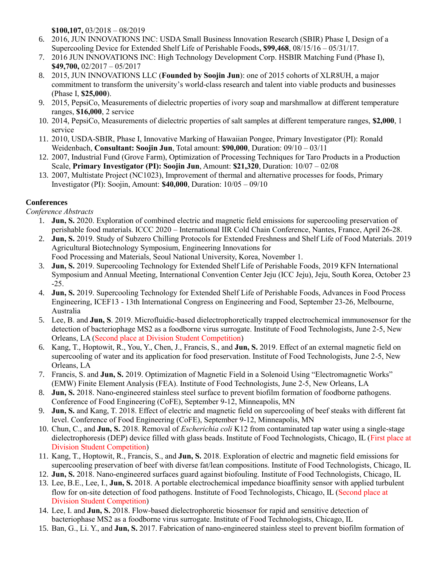**\$100,107,** 03/2018 – 08/2019

- 6. 2016, JUN INNOVATIONS INC: USDA Small Business Innovation Research (SBIR) Phase I, Design of a Supercooling Device for Extended Shelf Life of Perishable Foods**, \$99,468**, 08/15/16 – 05/31/17.
- 7. 2016 JUN INNOVATIONS INC: High Technology Development Corp. HSBIR Matching Fund (Phase I), **\$49,700,** 02/2017 – 05/2017
- 8. 2015, JUN INNOVATIONS LLC (**Founded by Soojin Jun**): one of 2015 cohorts of XLR8UH, a major commitment to transform the university's world-class research and talent into viable products and businesses (Phase I, **\$25,000**).
- 9. 2015, PepsiCo, Measurements of dielectric properties of ivory soap and marshmallow at different temperature ranges, **\$16,000**, 2 service
- 10. 2014, PepsiCo, Measurements of dielectric properties of salt samples at different temperature ranges, **\$2,000**, 1 service
- 11. 2010, USDA-SBIR, Phase I, Innovative Marking of Hawaiian Pongee, Primary Investigator (PI): Ronald Weidenbach, **Consultant: Soojin Jun**, Total amount: **\$90,000**, Duration: 09/10 – 03/11
- 12. 2007, Industrial Fund (Grove Farm), Optimization of Processing Techniques for Taro Products in a Production Scale, **Primary Investigator (PI): Soojin Jun**, Amount: **\$21,320**, Duration: 10/07 – 02/08
- 13. 2007, Multistate Project (NC1023), Improvement of thermal and alternative processes for foods, Primary Investigator (PI): Soojin, Amount: **\$40,000**, Duration: 10/05 – 09/10

# **Conferences**

*Conference Abstracts* 

- 1. **Jun, S.** 2020. Exploration of combined electric and magnetic field emissions for supercooling preservation of perishable food materials. ICCC 2020 – International IIR Cold Chain Conference, Nantes, France, April 26-28.
- 2. **Jun, S.** 2019. Study of Subzero Chilling Protocols for Extended Freshness and Shelf Life of Food Materials. 2019 Agricultural Biotechnology Symposium, Engineering Innovations for Food Processing and Materials, Seoul National University, Korea, November 1.
- 3. **Jun, S.** 2019. Supercooling Technology for Extended Shelf Life of Perishable Foods, 2019 KFN International Symposium and Annual Meeting, International Convention Center Jeju (ICC Jeju), Jeju, South Korea, October 23 -25.
- 4. **Jun, S.** 2019. Supercooling Technology for Extended Shelf Life of Perishable Foods, Advances in Food Process Engineering, ICEF13 - 13th International Congress on Engineering and Food, September 23-26, Melbourne, Australia
- 5. Lee, B. and **Jun, S**. 2019. Microfluidic-based dielectrophoretically trapped electrochemical immunosensor for the detection of bacteriophage MS2 as a foodborne virus surrogate. Institute of Food Technologists, June 2-5, New Orleans, LA (Second place at Division Student Competition)
- 6. Kang, T., Hoptowit, R., You, Y., Chen, J., Francis, S., and **Jun, S.** 2019. Effect of an external magnetic field on supercooling of water and its application for food preservation. Institute of Food Technologists, June 2-5, New Orleans, LA
- 7. Francis, S. and **Jun, S.** 2019. Optimization of Magnetic Field in a Solenoid Using "Electromagnetic Works" (EMW) Finite Element Analysis (FEA). Institute of Food Technologists, June 2-5, New Orleans, LA
- 8. **Jun, S.** 2018. Nano-engineered stainless steel surface to prevent biofilm formation of foodborne pathogens. Conference of Food Engineering (CoFE), September 9-12, Minneapolis, MN
- 9. **Jun, S.** and Kang, T. 2018. Effect of electric and magnetic field on supercooling of beef steaks with different fat level. Conference of Food Engineering (CoFE), September 9-12, Minneapolis, MN
- 10. Chun, C., and **Jun, S.** 2018. Removal of *Escherichia coli* K12 from contaminated tap water using a single-stage dielectrophoresis (DEP) device filled with glass beads. Institute of Food Technologists, Chicago, IL (First place at Division Student Competition)
- 11. Kang, T., Hoptowit, R., Francis, S., and **Jun, S.** 2018. Exploration of electric and magnetic field emissions for supercooling preservation of beef with diverse fat/lean compositions. Institute of Food Technologists, Chicago, IL
- 12. **Jun, S.** 2018. Nano-engineered surfaces guard against biofouling. Institute of Food Technologists, Chicago, IL
- 13. Lee, B.E., Lee, I., **Jun, S.** 2018. A portable electrochemical impedance bioaffinity sensor with applied turbulent flow for on-site detection of food pathogens. Institute of Food Technologists, Chicago, IL (Second place at Division Student Competition)
- 14. Lee, I. and **Jun, S.** 2018. Flow-based dielectrophoretic biosensor for rapid and sensitive detection of bacteriophase MS2 as a foodborne virus surrogate. Institute of Food Technologists, Chicago, IL
- 15. Ban, G., Li. Y., and **Jun, S.** 2017. Fabrication of nano-engineered stainless steel to prevent biofilm formation of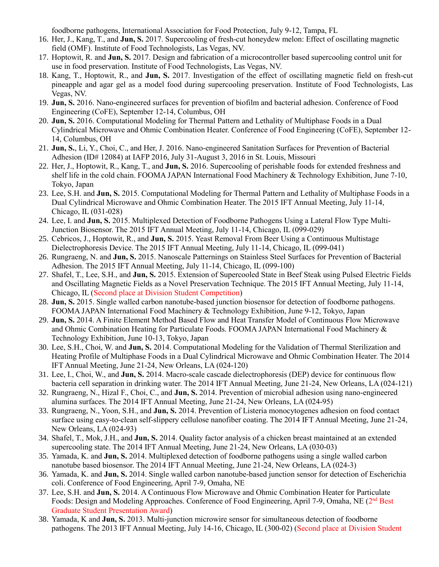foodborne pathogens, International Association for Food Protection, July 9-12, Tampa, FL

- 16. Her, J., Kang, T., and **Jun, S.** 2017. Supercooling of fresh-cut honeydew melon: Effect of oscillating magnetic field (OMF). Institute of Food Technologists, Las Vegas, NV.
- 17. Hoptowit, R. and **Jun, S.** 2017. Design and fabrication of a microcontroller based supercooling control unit for use in food preservation. Institute of Food Technologists, Las Vegas, NV.
- 18. Kang, T., Hoptowit, R., and **Jun, S.** 2017. Investigation of the effect of oscillating magnetic field on fresh-cut pineapple and agar gel as a model food during supercooling preservation. Institute of Food Technologists, Las Vegas, NV.
- 19. **Jun, S.** 2016. Nano-engineered surfaces for prevention of biofilm and bacterial adhesion. Conference of Food Engineering (CoFE), September 12-14, Columbus, OH
- 20. **Jun, S.** 2016. Computational Modeling for Thermal Pattern and Lethality of Multiphase Foods in a Dual Cylindrical Microwave and Ohmic Combination Heater. Conference of Food Engineering (CoFE), September 12- 14, Columbus, OH
- 21. **Jun, S.**, Li, Y., Choi, C., and Her, J. 2016. Nano-engineered Sanitation Surfaces for Prevention of Bacterial Adhesion (ID# 12084) at IAFP 2016, July 31-August 3, 2016 in St. Louis, Missouri
- 22. Her, J., Hoptowit, R., Kang, T., and **Jun, S.** 2016. Supercooling of perishable foods for extended freshness and shelf life in the cold chain. FOOMA JAPAN International Food Machinery & Technology Exhibition, June 7-10, Tokyo, Japan
- 23. Lee, S.H. and **Jun, S.** 2015. Computational Modeling for Thermal Pattern and Lethality of Multiphase Foods in a Dual Cylindrical Microwave and Ohmic Combination Heater. The 2015 IFT Annual Meeting, July 11-14, Chicago, IL (031-028)
- 24. Lee, I. and **Jun, S.** 2015. Multiplexed Detection of Foodborne Pathogens Using a Lateral Flow Type Multi-Junction Biosensor. The 2015 IFT Annual Meeting, July 11-14, Chicago, IL (099-029)
- 25. Cebricos, J., Hoptowit, R., and **Jun, S.** 2015. Yeast Removal From Beer Using a Continuous Multistage Dielectrophoresis Device. The 2015 IFT Annual Meeting, July 11-14, Chicago, IL (099-041)
- 26. Rungraeng, N. and **Jun, S.** 2015. Nanoscale Patternings on Stainless Steel Surfaces for Prevention of Bacterial Adhesion. The 2015 IFT Annual Meeting, July 11-14, Chicago, IL (099-100)
- 27. Shafel, T., Lee, S.H., and **Jun, S.** 2015. Extension of Supercooled State in Beef Steak using Pulsed Electric Fields and Oscillating Magnetic Fields as a Novel Preservation Technique. The 2015 IFT Annual Meeting, July 11-14, Chicago, IL (Second place at Division Student Competition)
- 28. **Jun, S.** 2015. Single walled carbon nanotube-based junction biosensor for detection of foodborne pathogens. FOOMA JAPAN International Food Machinery & Technology Exhibition, June 9-12, Tokyo, Japan
- 29. **Jun, S.** 2014. A Finite Element Method Based Flow and Heat Transfer Model of Continuous Flow Microwave and Ohmic Combination Heating for Particulate Foods. FOOMA JAPAN International Food Machinery & Technology Exhibition, June 10-13, Tokyo, Japan
- 30. Lee, S.H., Choi, W. and **Jun, S.** 2014. Computational Modeling for the Validation of Thermal Sterilization and Heating Profile of Multiphase Foods in a Dual Cylindrical Microwave and Ohmic Combination Heater. The 2014 IFT Annual Meeting, June 21-24, New Orleans, LA (024-120)
- 31. Lee, I., Choi, W., and **Jun, S.** 2014. Macro-scale cascade dielectrophoresis (DEP) device for continuous flow bacteria cell separation in drinking water. The 2014 IFT Annual Meeting, June 21-24, New Orleans, LA (024-121)
- 32. Rungraeng, N., Hizal F., Choi, C., and **Jun, S.** 2014. Prevention of microbial adhesion using nano-engineered alumina surfaces. The 2014 IFT Annual Meeting, June 21-24, New Orleans, LA (024-95)
- 33. Rungraeng, N., Yoon, S.H., and **Jun, S.** 2014. Prevention of Listeria monocytogenes adhesion on food contact surface using easy-to-clean self-slippery cellulose nanofiber coating. The 2014 IFT Annual Meeting, June 21-24, New Orleans, LA (024-93)
- 34. Shafel, T., Mok, J.H., and **Jun, S.** 2014. Quality factor analysis of a chicken breast maintained at an extended supercooling state. The 2014 IFT Annual Meeting, June 21-24, New Orleans, LA (030-03)
- 35. Yamada, K. and **Jun, S.** 2014. Multiplexed detection of foodborne pathogens using a single walled carbon nanotube based biosensor. The 2014 IFT Annual Meeting, June 21-24, New Orleans, LA (024-3)
- 36. Yamada, K. and **Jun, S.** 2014. Single walled carbon nanotube-based junction sensor for detection of Escherichia coli. Conference of Food Engineering, April 7-9, Omaha, NE
- 37. Lee, S.H. and **Jun, S.** 2014. A Continuous Flow Microwave and Ohmic Combination Heater for Particulate Foods: Design and Modeling Approaches. Conference of Food Engineering, April 7-9, Omaha, NE (2<sup>nd</sup> Best Graduate Student Presentation Award)
- 38. Yamada, K and **Jun, S.** 2013. Multi-junction microwire sensor for simultaneous detection of foodborne pathogens. The 2013 IFT Annual Meeting, July 14-16, Chicago, IL (300-02) (Second place at Division Student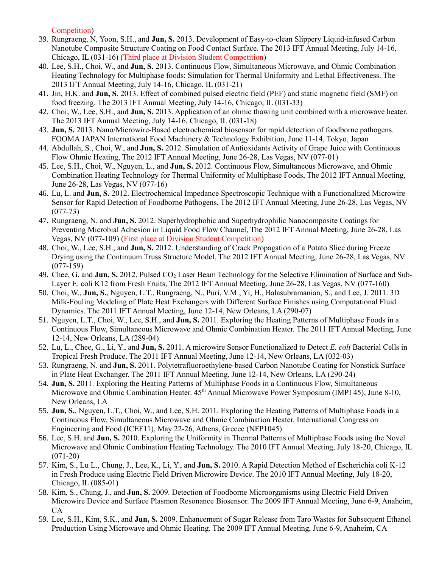Competition)

- 39. Rungraeng, N, Yoon, S.H., and **Jun, S.** 2013. Development of Easy-to-clean Slippery Liquid-infused Carbon Nanotube Composite Structure Coating on Food Contact Surface. The 2013 IFT Annual Meeting, July 14-16, Chicago, IL (031-16) (Third place at Division Student Competition)
- 40. Lee, S.H., Choi, W., and **Jun, S.** 2013. Continuous Flow, Simultaneous Microwave, and Ohmic Combination Heating Technology for Multiphase foods: Simulation for Thermal Uniformity and Lethal Effectiveness. The 2013 IFT Annual Meeting, July 14-16, Chicago, IL (031-21)
- 41. Jin, H.K. and **Jun, S**. 2013. Effect of combined pulsed electric field (PEF) and static magnetic field (SMF) on food freezing. The 2013 IFT Annual Meeting, July 14-16, Chicago, IL (031-33)
- 42. Choi, W., Lee, S.H., and **Jun, S.** 2013. Application of an ohmic thawing unit combined with a microwave heater. The 2013 IFT Annual Meeting, July 14-16, Chicago, IL (031-18)
- 43. **Jun, S.** 2013. Nano/Microwire-Based electrochemical biosensor for rapid detection of foodborne pathogens. FOOMA JAPAN International Food Machinery & Technology Exhibition, June 11-14, Tokyo, Japan
- 44. Abdullah, S., Choi, W., and **Jun, S.** 2012. Simulation of Antioxidants Activity of Grape Juice with Continuous Flow Ohmic Heating, The 2012 IFT Annual Meeting, June 26-28, Las Vegas, NV (077-01)
- 45. Lee, S.H., Choi, W., Nguyen, L., and **Jun, S.** 2012. Continuous Flow, Simultaneous Microwave, and Ohmic Combination Heating Technology for Thermal Uniformity of Multiphase Foods, The 2012 IFT Annual Meeting, June 26-28, Las Vegas, NV (077-16)
- 46. Lu, L. and **Jun, S.** 2012. Electrochemical Impedance Spectroscopic Technique with a Functionalized Microwire Sensor for Rapid Detection of Foodborne Pathogens, The 2012 IFT Annual Meeting, June 26-28, Las Vegas, NV (077-73)
- 47. Rungraeng, N. and **Jun, S.** 2012. Superhydrophobic and Superhydrophilic Nanocomposite Coatings for Preventing Microbial Adhesion in Liquid Food Flow Channel, The 2012 IFT Annual Meeting, June 26-28, Las Vegas, NV (077-109) (First place at Division Student Competition)
- 48. Choi, W., Lee, S.H., and **Jun, S.** 2012. Understanding of Crack Propagation of a Potato Slice during Freeze Drying using the Continuum Truss Structure Model, The 2012 IFT Annual Meeting, June 26-28, Las Vegas, NV (077-159)
- 49. Chee, G. and **Jun, S.** 2012. Pulsed CO<sup>2</sup> Laser Beam Technology for the Selective Elimination of Surface and Sub-Layer E. coli K12 from Fresh Fruits, The 2012 IFT Annual Meeting, June 26-28, Las Vegas, NV (077-160)
- 50. Choi, W., **Jun, S.**, Nguyen, L.T., Rungraeng, N., Puri, V.M., Yi, H., Balasubramanian, S., and Lee, J. 2011. 3D Milk-Fouling Modeling of Plate Heat Exchangers with Different Surface Finishes using Computational Fluid Dynamics. The 2011 IFT Annual Meeting, June 12-14, New Orleans, LA (290-07)
- 51. Nguyen, L.T., Choi, W., Lee, S.H., and **Jun, S.** 2011. Exploring the Heating Patterns of Multiphase Foods in a Continuous Flow, Simultaneous Microwave and Ohmic Combination Heater. The 2011 IFT Annual Meeting, June 12-14, New Orleans, LA (289-04)
- 52. Lu, L., Chee, G., Li, Y., and **Jun, S.** 2011. A microwire Sensor Functionalized to Detect *E. coli* Bacterial Cells in Tropical Fresh Produce. The 2011 IFT Annual Meeting, June 12-14, New Orleans, LA (032-03)
- 53. Rungraeng, N. and **Jun, S.** 2011. Polytetrafluoroethylene-based Carbon Nanotube Coating for Nonstick Surface in Plate Heat Exchanger. The 2011 IFT Annual Meeting, June 12-14, New Orleans, LA (290-24)
- 54. **Jun, S.** 2011. Exploring the Heating Patterns of Multiphase Foods in a Continuous Flow, Simultaneous Microwave and Ohmic Combination Heater. 45<sup>th</sup> Annual Microwave Power Symposium (IMPI 45), June 8-10, New Orleans, LA
- 55. **Jun, S.**, Nguyen, L.T., Choi, W., and Lee, S.H. 2011. Exploring the Heating Patterns of Multiphase Foods in a Continuous Flow, Simultaneous Microwave and Ohmic Combination Heater. International Congress on Engineering and Food (ICEF11), May 22-26, Athens, Greece (NFP1045)
- 56. Lee, S.H. and **Jun, S.** 2010. Exploring the Uniformity in Thermal Patterns of Multiphase Foods using the Novel Microwave and Ohmic Combination Heating Technology. The 2010 IFT Annual Meeting, July 18-20, Chicago, IL (071-20)
- 57. Kim, S., Lu L., Chung, J., Lee, K., Li, Y., and **Jun, S.** 2010. A Rapid Detection Method of Escherichia coli K-12 in Fresh Produce using Electric Field Driven Microwire Device. The 2010 IFT Annual Meeting, July 18-20, Chicago, IL (085-01)
- 58. Kim, S., Chung, J., and **Jun, S.** 2009. Detection of Foodborne Microorganisms using Electric Field Driven Microwire Device and Surface Plasmon Resonance Biosensor. The 2009 IFT Annual Meeting, June 6-9, Anaheim, CA
- 59. Lee, S.H., Kim, S.K., and **Jun, S.** 2009. Enhancement of Sugar Release from Taro Wastes for Subsequent Ethanol Production Using Microwave and Ohmic Heating. The 2009 IFT Annual Meeting, June 6-9, Anaheim, CA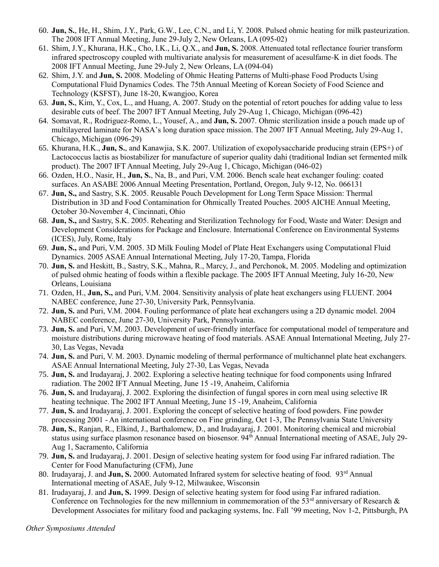- 60. **Jun, S.**, He, H., Shim, J.Y., Park, G.W., Lee, C.N., and Li, Y. 2008. Pulsed ohmic heating for milk pasteurization. The 2008 IFT Annual Meeting, June 29-July 2, New Orleans, LA (095-02)
- 61. Shim, J.Y., Khurana, H.K., Cho, I.K., Li, Q.X., and **Jun, S.** 2008. Attenuated total reflectance fourier transform infrared spectroscopy coupled with multivariate analysis for measurement of acesulfame-K in diet foods. The 2008 IFT Annual Meeting, June 29-July 2, New Orleans, LA (094-04)
- 62. Shim, J.Y. and **Jun, S.** 2008. Modeling of Ohmic Heating Patterns of Multi-phase Food Products Using Computational Fluid Dynamics Codes. The 75th Annual Meeting of Korean Society of Food Science and Technology (KSFST), June 18-20, Kwangjoo, Korea
- 63. **Jun, S.**, Kim, Y., Cox, L., and Huang, A. 2007. Study on the potential of retort pouches for adding value to less desirable cuts of beef. The 2007 IFT Annual Meeting, July 29-Aug 1, Chicago, Michigan (096-42)
- 64. Somavat, R., Rodriguez-Romo, L., Yousef, A., and **Jun, S.** 2007. Ohmic sterilization inside a pouch made up of multilayered laminate for NASA's long duration space mission. The 2007 IFT Annual Meeting, July 29-Aug 1, Chicago, Michigan (096-29)
- 65. Khurana, H.K., **Jun, S.**, and Kanawjia, S.K. 2007. Utilization of exopolysaccharide producing strain (EPS+) of Lactococcus lactis as biostabilizer for manufacture of superior quality dahi (traditional Indian set fermented milk product). The 2007 IFT Annual Meeting, July 29-Aug 1, Chicago, Michigan (046-02)
- 66. Ozden, H.O., Nasir, H., **Jun, S.**, Na, B., and Puri, V.M. 2006. Bench scale heat exchanger fouling: coated surfaces. An ASABE 2006 Annual Meeting Presentation, Portland, Oregon, July 9-12, No. 066131
- 67. **Jun, S.,** and Sastry, S.K. 2005. Reusable Pouch Development for Long Term Space Mission: Thermal Distribution in 3D and Food Contamination for Ohmically Treated Pouches. 2005 AICHE Annual Meeting, October 30-November 4, Cincinnati, Ohio
- 68. **Jun, S.,** and Sastry, S.K. 2005. Reheating and Sterilization Technology for Food, Waste and Water: Design and Development Considerations for Package and Enclosure. International Conference on Environmental Systems (ICES), July, Rome, Italy
- 69. **Jun, S.,** and Puri, V.M. 2005. 3D Milk Fouling Model of Plate Heat Exchangers using Computational Fluid Dynamics. 2005 ASAE Annual International Meeting, July 17-20, Tampa, Florida
- 70. **Jun, S.** and Heskitt, B., Sastry, S.K., Mahna, R., Marcy, J., and Perchonok, M. 2005. Modeling and optimization of pulsed ohmic heating of foods within a flexible package. The 2005 IFT Annual Meeting, July 16-20, New Orleans, Louisiana
- 71. Ozden, H., **Jun, S.,** and Puri, V.M. 2004. Sensitivity analysis of plate heat exchangers using FLUENT. 2004 NABEC conference, June 27-30, University Park, Pennsylvania.
- 72. **Jun, S.** and Puri, V.M. 2004. Fouling performance of plate heat exchangers using a 2D dynamic model. 2004 NABEC conference, June 27-30, University Park, Pennsylvania.
- 73. **Jun, S.** and Puri, V.M. 2003. Development of user-friendly interface for computational model of temperature and moisture distributions during microwave heating of food materials. ASAE Annual International Meeting, July 27- 30, Las Vegas, Nevada
- 74. **Jun, S.** and Puri, V. M. 2003. Dynamic modeling of thermal performance of multichannel plate heat exchangers. ASAE Annual International Meeting, July 27-30, Las Vegas, Nevada
- 75. **Jun, S.** and Irudayaraj, J. 2002. Exploring a selective heating technique for food components using Infrared radiation. The 2002 IFT Annual Meeting, June 15 -19, Anaheim, California
- 76. **Jun, S.** and Irudayaraj, J. 2002. Exploring the disinfection of fungal spores in corn meal using selective IR heating technique. The 2002 IFT Annual Meeting, June 15 -19, Anaheim, California
- 77. **Jun, S.** and Irudayaraj, J. 2001. Exploring the concept of selective heating of food powders. Fine powder processing 2001 - An international conference on Fine grinding, Oct 1-3, The Pennsylvania State University
- 78. **Jun, S.**, Ranjan, R., Elkind, J., Barthalomew, D., and Irudayaraj, J. 2001. Monitoring chemical and microbial status using surface plasmon resonance based on biosensor. 94<sup>th</sup> Annual International meeting of ASAE, July 29-Aug 1, Sacramento, California
- 79. **Jun, S.** and Irudayaraj, J. 2001. Design of selective heating system for food using Far infrared radiation. The Center for Food Manufacturing (CFM), June
- 80. Irudayaraj, J. and **Jun, S.** 2000. Automated Infrared system for selective heating of food. 93<sup>rd</sup> Annual International meeting of ASAE, July 9-12, Milwaukee, Wisconsin
- 81. Irudayaraj, J. and **Jun, S.** 1999. Design of selective heating system for food using Far infrared radiation. Conference on Technologies for the new millennium in commemoration of the 53<sup>rd</sup> anniversary of Research & Development Associates for military food and packaging systems, Inc. Fall '99 meeting, Nov 1-2, Pittsburgh, PA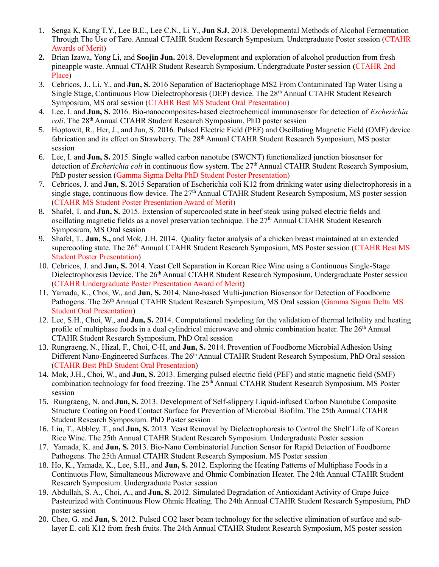- 1. Senga K, Kang T.Y., Lee B.E., Lee C.N., Li Y., **Jun S.J.** 2018. Developmental Methods of Alcohol Fermentation Through The Use of Taro. Annual CTAHR Student Research Symposium. Undergraduate Poster session (CTAHR Awards of Merit)
- **2.** Brian Izawa, Yong Li, and **Soojin Jun.** 2018. Development and exploration of alcohol production from fresh pineapple waste. Annual CTAHR Student Research Symposium. Undergraduate Poster session **(**CTAHR 2nd Place)
- 3. Cebricos, J., Li, Y., and **Jun, S.** 2016 Separation of Bacteriophage MS2 From Contaminated Tap Water Using a Single Stage, Continuous Flow Dielectrophoresis (DEP) device. The 28th Annual CTAHR Student Research Symposium, MS oral session (CTAHR Best MS Student Oral Presentation)
- 4. Lee, I. and **Jun, S.** 2016. Bio-nanocomposites-based electrochemical immunosensor for detection of *Escherichia coli*. The 28<sup>th</sup> Annual CTAHR Student Research Symposium, PhD poster session
- 5. Hoptowit, R., Her, J., and Jun, S. 2016. Pulsed Electric Field (PEF) and Oscillating Magnetic Field (OMF) device fabrication and its effect on Strawberry. The 28<sup>th</sup> Annual CTAHR Student Research Symposium, MS poster session
- 6. Lee, I. and **Jun, S.** 2015. Single walled carbon nanotube (SWCNT) functionalized junction biosensor for detection of *Escherichia coli* in continuous flow system. The 27<sup>th</sup> Annual CTAHR Student Research Symposium, PhD poster session (Gamma Sigma Delta PhD Student Poster Presentation)
- 7. Cebricos, J. and **Jun, S.** 2015 Separation of Escherichia coli K12 from drinking water using dielectrophoresis in a single stage, continuous flow device. The 27<sup>th</sup> Annual CTAHR Student Research Symposium, MS poster session (CTAHR MS Student Poster Presentation Award of Merit)
- 8. Shafel, T. and **Jun, S.** 2015. Extension of supercooled state in beef steak using pulsed electric fields and oscillating magnetic fields as a novel preservation technique. The 27<sup>th</sup> Annual CTAHR Student Research Symposium, MS Oral session
- 9. Shafel, T., **Jun, S.,** and Mok, J.H. 2014. Quality factor analysis of a chicken breast maintained at an extended supercooling state. The 26<sup>th</sup> Annual CTAHR Student Research Symposium, MS Poster session (CTAHR Best MS) Student Poster Presentation)
- 10. Cebricos, J. and **Jun, S.** 2014. Yeast Cell Separation in Korean Rice Wine using a Continuous Single-Stage Dielectrophoresis Device. The 26<sup>th</sup> Annual CTAHR Student Research Symposium, Undergraduate Poster session (CTAHR Undergraduate Poster Presentation Award of Merit)
- 11. Yamada, K., Choi, W., and **Jun, S.** 2014. Nano-based Multi-junction Biosensor for Detection of Foodborne Pathogens. The 26<sup>th</sup> Annual CTAHR Student Research Symposium, MS Oral session (Gamma Sigma Delta MS Student Oral Presentation)
- 12. Lee, S.H., Choi, W., and **Jun, S.** 2014. Computational modeling for the validation of thermal lethality and heating profile of multiphase foods in a dual cylindrical microwave and ohmic combination heater. The  $26<sup>th</sup>$  Annual CTAHR Student Research Symposium, PhD Oral session
- 13. Rungraeng, N., Hizal, F., Choi, C-H, and **Jun, S.** 2014. Prevention of Foodborne Microbial Adhesion Using Different Nano-Engineered Surfaces. The 26<sup>th</sup> Annual CTAHR Student Research Symposium, PhD Oral session (CTAHR Best PhD Student Oral Presentation)
- 14. Mok, J.H., Choi, W., and **Jun, S.** 2013. Emerging pulsed electric field (PEF) and static magnetic field (SMF) combination technology for food freezing. The 25<sup>th</sup> Annual CTAHR Student Research Symposium. MS Poster session
- 15. Rungraeng, N. and **Jun, S.** 2013. Development of Self-slippery Liquid-infused Carbon Nanotube Composite Structure Coating on Food Contact Surface for Prevention of Microbial Biofilm. The 25th Annual CTAHR Student Research Symposium. PhD Poster session
- 16. Liu, T., Abbley, T., and **Jun, S.** 2013. Yeast Removal by Dielectrophoresis to Control the Shelf Life of Korean Rice Wine. The 25th Annual CTAHR Student Research Symposium. Undergraduate Poster session
- 17. Yamada, K. and **Jun, S.** 2013. Bio-Nano Combinatorial Junction Sensor for Rapid Detection of Foodborne Pathogens. The 25th Annual CTAHR Student Research Symposium. MS Poster session
- 18. Ho, K., Yamada, K., Lee, S.H., and **Jun, S.** 2012. Exploring the Heating Patterns of Multiphase Foods in a Continuous Flow, Simultaneous Microwave and Ohmic Combination Heater. The 24th Annual CTAHR Student Research Symposium. Undergraduate Poster session
- 19. Abdullah, S. A., Choi, A., and **Jun, S.** 2012. Simulated Degradation of Antioxidant Activity of Grape Juice Pasteurized with Continuous Flow Ohmic Heating. The 24th Annual CTAHR Student Research Symposium, PhD poster session
- 20. Chee, G. and **Jun, S.** 2012. Pulsed CO2 laser beam technology for the selective elimination of surface and sublayer E. coli K12 from fresh fruits. The 24th Annual CTAHR Student Research Symposium, MS poster session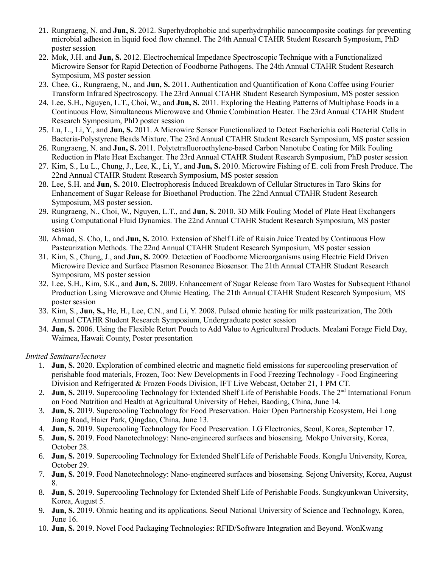- 21. Rungraeng, N. and **Jun, S.** 2012. Superhydrophobic and superhydrophilic nanocomposite coatings for preventing microbial adhesion in liquid food flow channel. The 24th Annual CTAHR Student Research Symposium, PhD poster session
- 22. Mok, J.H. and **Jun, S.** 2012. Electrochemical Impedance Spectroscopic Technique with a Functionalized Microwire Sensor for Rapid Detection of Foodborne Pathogens. The 24th Annual CTAHR Student Research Symposium, MS poster session
- 23. Chee, G., Rungraeng, N., and **Jun, S.** 2011. Authentication and Quantification of Kona Coffee using Fourier Transform Infrared Spectroscopy. The 23rd Annual CTAHR Student Research Symposium, MS poster session
- 24. Lee, S.H., Nguyen, L.T., Choi, W., and **Jun, S.** 2011. Exploring the Heating Patterns of Multiphase Foods in a Continuous Flow, Simultaneous Microwave and Ohmic Combination Heater. The 23rd Annual CTAHR Student Research Symposium, PhD poster session
- 25. Lu, L., Li, Y., and **Jun, S.** 2011. A Microwire Sensor Functionalized to Detect Escherichia coli Bacterial Cells in Bacteria-Polystyrene Beads Mixture. The 23rd Annual CTAHR Student Research Symposium, MS poster session
- 26. Rungraeng, N. and **Jun, S.** 2011. Polytetrafluoroethylene-based Carbon Nanotube Coating for Milk Fouling Reduction in Plate Heat Exchanger. The 23rd Annual CTAHR Student Research Symposium, PhD poster session
- 27. Kim, S., Lu L., Chung, J., Lee, K., Li, Y., and **Jun, S.** 2010. Microwire Fishing of E. coli from Fresh Produce. The 22nd Annual CTAHR Student Research Symposium, MS poster session
- 28. Lee, S.H. and **Jun, S.** 2010. Electrophoresis Induced Breakdown of Cellular Structures in Taro Skins for Enhancement of Sugar Release for Bioethanol Production. The 22nd Annual CTAHR Student Research Symposium, MS poster session.
- 29. Rungraeng, N., Choi, W., Nguyen, L.T., and **Jun, S.** 2010. 3D Milk Fouling Model of Plate Heat Exchangers using Computational Fluid Dynamics. The 22nd Annual CTAHR Student Research Symposium, MS poster session
- 30. Ahmad, S. Cho, I., and **Jun, S.** 2010. Extension of Shelf Life of Raisin Juice Treated by Continuous Flow Pasteurization Methods. The 22nd Annual CTAHR Student Research Symposium, MS poster session
- 31. Kim, S., Chung, J., and **Jun, S.** 2009. Detection of Foodborne Microorganisms using Electric Field Driven Microwire Device and Surface Plasmon Resonance Biosensor. The 21th Annual CTAHR Student Research Symposium, MS poster session
- 32. Lee, S.H., Kim, S.K., and **Jun, S.** 2009. Enhancement of Sugar Release from Taro Wastes for Subsequent Ethanol Production Using Microwave and Ohmic Heating. The 21th Annual CTAHR Student Research Symposium, MS poster session
- 33. Kim, S., **Jun, S.,** He, H., Lee, C.N., and Li, Y. 2008. Pulsed ohmic heating for milk pasteurization, The 20th Annual CTAHR Student Research Symposium, Undergraduate poster session
- 34. **Jun, S.** 2006. Using the Flexible Retort Pouch to Add Value to Agricultural Products. Mealani Forage Field Day, Waimea, Hawaii County, Poster presentation

*Invited Seminars/lectures* 

- 1. **Jun, S.** 2020. Exploration of combined electric and magnetic field emissions for supercooling preservation of perishable food materials, Frozen, Too: New Developments in Food Freezing Technology - Food Engineering Division and Refrigerated & Frozen Foods Division, IFT Live Webcast, October 21, 1 PM CT.
- 2. **Jun, S.** 2019. Supercooling Technology for Extended Shelf Life of Perishable Foods. The 2<sup>nd</sup> International Forum on Food Nutrition and Health at Agricultural University of Hebei, Baoding, China, June 14.
- 3. **Jun, S.** 2019. Supercooling Technology for Food Preservation. Haier Open Partnership Ecosystem, Hei Long Jiang Road, Haier Park, Qingdao, China, June 13.
- 4. **Jun, S.** 2019. Supercooling Technology for Food Preservation. LG Electronics, Seoul, Korea, September 17.
- 5. **Jun, S.** 2019. Food Nanotechnology: Nano-engineered surfaces and biosensing. Mokpo University, Korea, October 28.
- 6. **Jun, S.** 2019. Supercooling Technology for Extended Shelf Life of Perishable Foods. KongJu University, Korea, October 29.
- 7. **Jun, S.** 2019. Food Nanotechnology: Nano-engineered surfaces and biosensing. Sejong University, Korea, August 8.
- 8. **Jun, S.** 2019. Supercooling Technology for Extended Shelf Life of Perishable Foods. Sungkyunkwan University, Korea, August 5.
- 9. **Jun, S.** 2019. Ohmic heating and its applications. Seoul National University of Science and Technology, Korea, June 16.
- 10. **Jun, S.** 2019. Novel Food Packaging Technologies: RFID/Software Integration and Beyond. WonKwang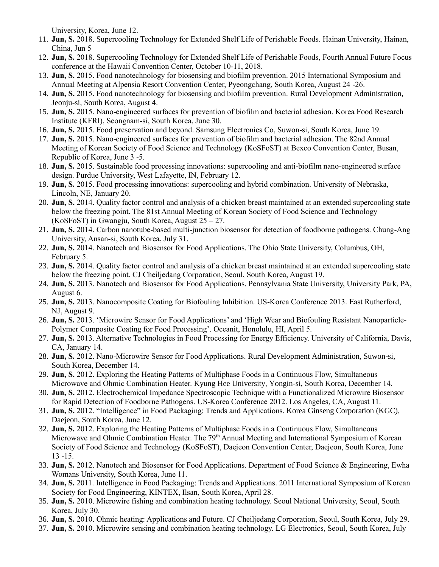University, Korea, June 12.

- 11. **Jun, S.** 2018. Supercooling Technology for Extended Shelf Life of Perishable Foods. Hainan University, Hainan, China, Jun 5
- 12. **Jun, S.** 2018. Supercooling Technology for Extended Shelf Life of Perishable Foods, Fourth Annual Future Focus conference at the Hawaii Convention Center, October 10-11, 2018.
- 13. **Jun, S.** 2015. Food nanotechnology for biosensing and biofilm prevention. 2015 International Symposium and Annual Meeting at Alpensia Resort Convention Center, Pyeongchang, South Korea, August 24 -26.
- 14. **Jun, S.** 2015. Food nanotechnology for biosensing and biofilm prevention. Rural Development Administration, Jeonju-si, South Korea, August 4.
- 15. **Jun, S.** 2015. Nano-engineered surfaces for prevention of biofilm and bacterial adhesion. Korea Food Research Institute (KFRI), Seongnam-si, South Korea, June 30.
- 16. **Jun, S.** 2015. Food preservation and beyond. Samsung Electronics Co, Suwon-si, South Korea, June 19.
- 17. **Jun, S.** 2015. Nano-engineered surfaces for prevention of biofilm and bacterial adhesion. The 82nd Annual Meeting of Korean Society of Food Science and Technology (KoSFoST) at Bexco Convention Center, Busan, Republic of Korea, June 3 -5.
- 18. **Jun, S.** 2015. Sustainable food processing innovations: supercooling and anti-biofilm nano-engineered surface design. Purdue University, West Lafayette, IN, February 12.
- 19. **Jun, S.** 2015. Food processing innovations: supercooling and hybrid combination. University of Nebraska, Lincoln, NE, January 20.
- 20. **Jun, S.** 2014. Quality factor control and analysis of a chicken breast maintained at an extended supercooling state below the freezing point. The 81st Annual Meeting of Korean Society of Food Science and Technology (KoSFoST) in Gwangju, South Korea, August 25 – 27.
- 21. **Jun, S.** 2014. Carbon nanotube-based multi-junction biosensor for detection of foodborne pathogens. Chung-Ang University, Ansan-si, South Korea, July 31.
- 22. **Jun, S.** 2014. Nanotech and Biosensor for Food Applications. The Ohio State University, Columbus, OH, February 5.
- 23. **Jun, S.** 2014. Quality factor control and analysis of a chicken breast maintained at an extended supercooling state below the freezing point. CJ Cheiljedang Corporation, Seoul, South Korea, August 19.
- 24. **Jun, S.** 2013. Nanotech and Biosensor for Food Applications. Pennsylvania State University, University Park, PA, August 6.
- 25. **Jun, S.** 2013. Nanocomposite Coating for Biofouling Inhibition. US-Korea Conference 2013. East Rutherford, NJ, August 9.
- 26. **Jun, S.** 2013. 'Microwire Sensor for Food Applications' and 'High Wear and Biofouling Resistant Nanoparticle-Polymer Composite Coating for Food Processing'. Oceanit, Honolulu, HI, April 5.
- 27. **Jun, S.** 2013. Alternative Technologies in Food Processing for Energy Efficiency. University of California, Davis, CA, January 14.
- 28. **Jun, S.** 2012. Nano-Microwire Sensor for Food Applications. Rural Development Administration, Suwon-si, South Korea, December 14.
- 29. **Jun, S.** 2012. Exploring the Heating Patterns of Multiphase Foods in a Continuous Flow, Simultaneous Microwave and Ohmic Combination Heater. Kyung Hee University, Yongin-si, South Korea, December 14.
- 30. **Jun, S.** 2012. Electrochemical Impedance Spectroscopic Technique with a Functionalized Microwire Biosensor for Rapid Detection of Foodborne Pathogens. US-Korea Conference 2012. Los Angeles, CA, August 11.
- 31. **Jun, S.** 2012. "Intelligence" in Food Packaging: Trends and Applications. Korea Ginseng Corporation (KGC), Daejeon, South Korea, June 12.
- 32. **Jun, S.** 2012. Exploring the Heating Patterns of Multiphase Foods in a Continuous Flow, Simultaneous Microwave and Ohmic Combination Heater. The 79<sup>th</sup> Annual Meeting and International Symposium of Korean Society of Food Science and Technology (KoSFoST), Daejeon Convention Center, Daejeon, South Korea, June 13 -15.
- 33. **Jun, S.** 2012. Nanotech and Biosensor for Food Applications. Department of Food Science & Engineering, Ewha Womans University, South Korea, June 11.
- 34. **Jun, S.** 2011. Intelligence in Food Packaging: Trends and Applications. 2011 International Symposium of Korean Society for Food Engineering, KINTEX, Ilsan, South Korea, April 28.
- 35. **Jun, S.** 2010. Microwire fishing and combination heating technology. Seoul National University, Seoul, South Korea, July 30.
- 36. **Jun, S.** 2010. Ohmic heating: Applications and Future. CJ Cheiljedang Corporation, Seoul, South Korea, July 29.
- 37. **Jun, S.** 2010. Microwire sensing and combination heating technology. LG Electronics, Seoul, South Korea, July